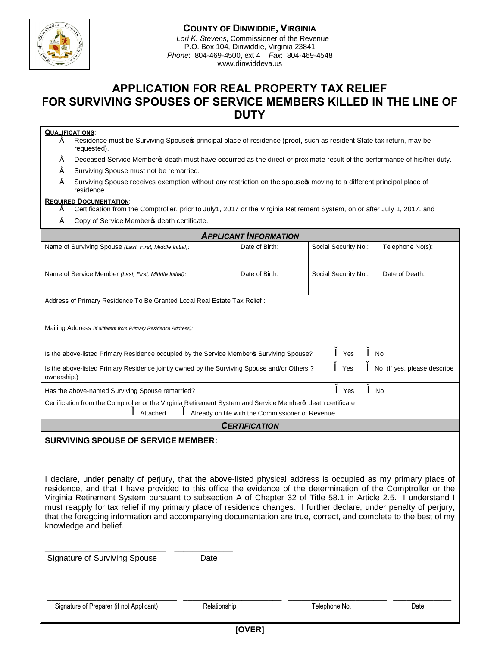

## **COUNTY OF DINWIDDIE, VIRGINIA**

*Lori K. Stevens*, Commissioner of the Revenue P.O. Box 104, Dinwiddie, Virginia 23841 *Phone*: 804-469-4500, ext 4 *Fax*: 804-469-4548 www.dinwiddeva.us

# **APPLICATION FOR REAL PROPERTY TAX RELIEF FOR SURVIVING SPOUSES OF SERVICE MEMBERS KILLED IN THE LINE OF DUTY**

## **QUALIFICATIONS**:

- $\acute{E}$  Residence must be Surviving Spouse c principal place of residence (proof, such as resident State tax return, may be requested).
- $\acute{E}$  Deceased Service Member  $\ddot{\phi}$  death must have occurred as the direct or proximate result of the performance of his/her duty.
- Surviving Spouse must not be remarried.
- $É$  Surviving Spouse receives exemption without any restriction on the spouse  $\phi$  moving to a different principal place of residence.

#### **REQUIRED DOCUMENTATION**:

- Certification from the Comptroller, prior to July1, 2017 or the Virginia Retirement System, on or after July 1, 2017. and
- $\acute{\mathrm{E}}$  Copy of Service Member  $\Phi$  death certificate.

| <b>APPLICANT INFORMATION</b>                                                                                |                |                      |                             |  |  |  |  |
|-------------------------------------------------------------------------------------------------------------|----------------|----------------------|-----------------------------|--|--|--|--|
| Name of Surviving Spouse (Last, First, Middle Initial):                                                     | Date of Birth: | Social Security No.: | Telephone No(s):            |  |  |  |  |
|                                                                                                             |                |                      |                             |  |  |  |  |
| Name of Service Member (Last, First, Middle Initial):                                                       | Date of Birth: | Social Security No.: | Date of Death:              |  |  |  |  |
|                                                                                                             |                |                      |                             |  |  |  |  |
| Address of Primary Residence To Be Granted Local Real Estate Tax Relief:                                    |                |                      |                             |  |  |  |  |
|                                                                                                             |                |                      |                             |  |  |  |  |
| Mailing Address (if different from Primary Residence Address):                                              |                |                      |                             |  |  |  |  |
|                                                                                                             |                |                      |                             |  |  |  |  |
| Is the above-listed Primary Residence occupied by the Service Membero Surviving Spouse?<br>Yes<br>No        |                |                      |                             |  |  |  |  |
| Is the above-listed Primary Residence jointly owned by the Surviving Spouse and/or Others?<br>ownership.)   |                |                      | No (If yes, please describe |  |  |  |  |
| Has the above-named Surviving Spouse remarried?                                                             | Yes            | No                   |                             |  |  |  |  |
| Certification from the Comptroller or the Virginia Retirement System and Service Memberos death certificate |                |                      |                             |  |  |  |  |
| Already on file with the Commissioner of Revenue<br>Attached                                                |                |                      |                             |  |  |  |  |
| <b>CERTIFICATION</b>                                                                                        |                |                      |                             |  |  |  |  |

### **SURVIVING SPOUSE OF SERVICE MEMBER:**

I declare, under penalty of perjury, that the above-listed physical address is occupied as my primary place of residence, and that I have provided to this office the evidence of the determination of the Comptroller or the Virginia Retirement System pursuant to subsection A of Chapter 32 of Title 58.1 in Article 2.5. I understand I must reapply for tax relief if my primary place of residence changes. I further declare, under penalty of perjury, that the foregoing information and accompanying documentation are true, correct, and complete to the best of my knowledge and belief.

\_\_\_\_\_\_\_\_\_\_\_\_\_\_\_\_\_\_\_\_\_\_\_\_\_\_\_ \_\_\_\_\_\_\_\_\_\_\_\_\_ Signature of Surviving Spouse Date

Ξ

Signature of Preparer (if not Applicant) **Relationship** Relationship Telephone No. Relationship Telephone No. Relationship Relationship Relationship Telephone No. Relationship Relationship Relationship Relationship Relatio

**[OVER]**